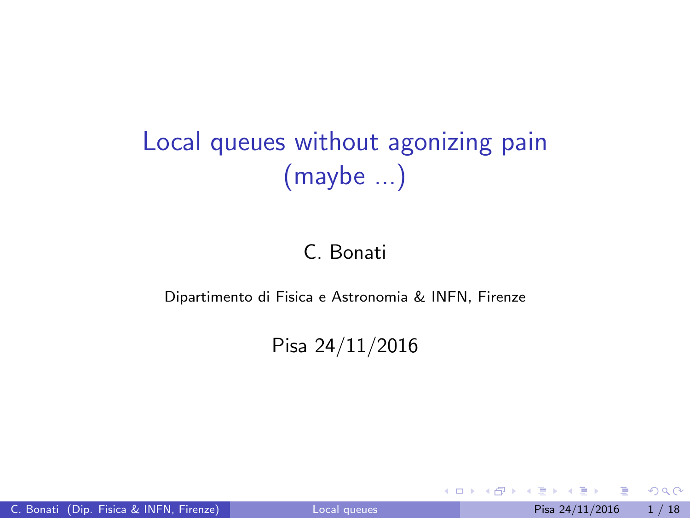## <span id="page-0-0"></span>Local queues without agonizing pain (maybe ...)

#### C. Bonati

#### Dipartimento di Fisica e Astronomia & INFN, Firenze

#### Pisa 24/11/2016

4 日下

 $\equiv$ 

 $\mathcal{A} \cap \mathbb{P} \rightarrow \mathcal{A} \supseteq \mathcal{A} \rightarrow \mathcal{A} \supseteq \mathcal{A}$ 

 $QQ$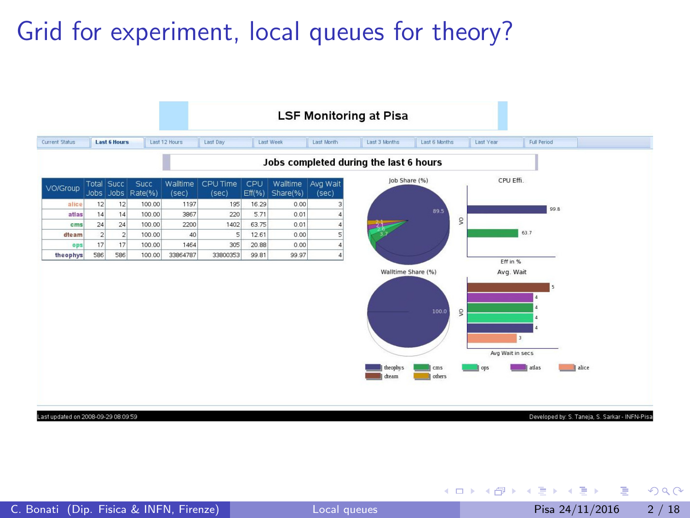## Grid for experiment, local queues for theory?



Developed by: S. Taneja, S. Sarkar - INFN-Pisa

 $A \cup B \rightarrow A \oplus B \rightarrow A \oplus B \rightarrow A \oplus B \rightarrow B$ 

ast updated on 2008-09-29 08:09:59

 $QQ$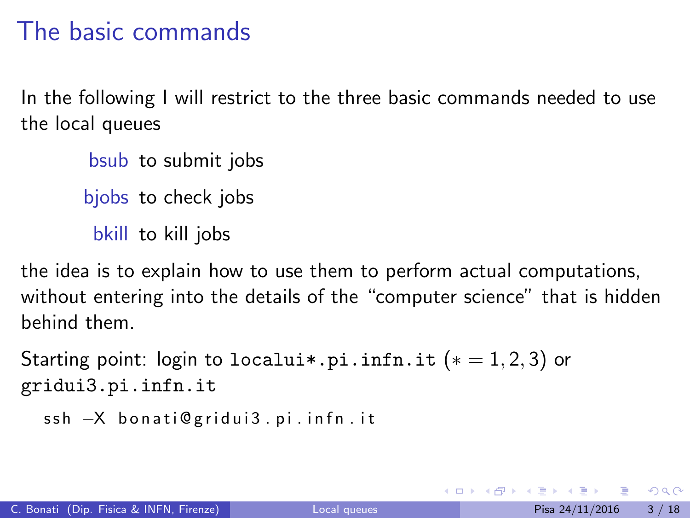## The basic commands

In the following I will restrict to the three basic commands needed to use the local queues

bsub to submit jobs bjobs to check jobs bkill to kill jobs

the idea is to explain how to use them to perform actual computations, without entering into the details of the "computer science" that is hidden behind them.

```
Starting point: login to localui*.pi.infn.it (*) = 1, 2, 3 or
gridui3.pi.infn.it
```

```
ssh -X bonati@gridui3.pi.infn.it
```
- 30

 $\Omega$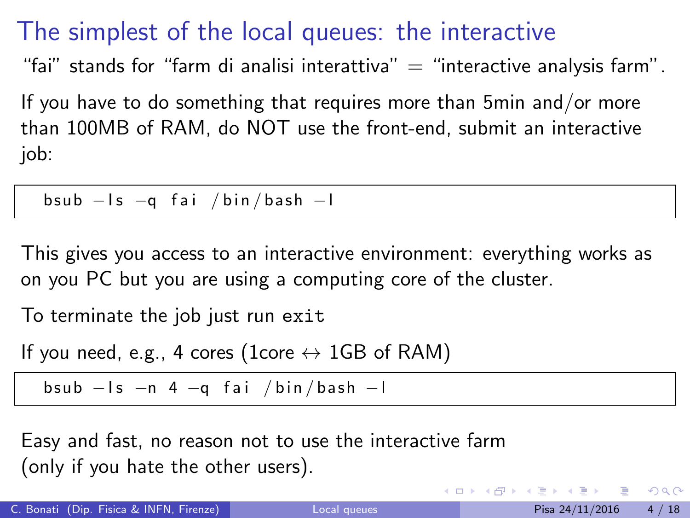### The simplest of the local queues: the interactive

"fai" stands for "farm di analisi interattiva"  $=$  "interactive analysis farm".

If you have to do something that requires more than 5min and/or more than 100MB of RAM, do NOT use the front-end, submit an interactive job:

bsub −Is −q fai /bin/bash −I

This gives you access to an interactive environment: everything works as on you PC but you are using a computing core of the cluster.

To terminate the job just run exit

If you need, e.g., 4 cores (1core  $\leftrightarrow$  1GB of RAM)

bsub  $-Is -n 4 -q fai / bin / bash -l$ 

Easy and fast, no reason not to use the interactive farm (only if you hate the other users).

 $\eta$ are

 $\left\{ \begin{array}{ccc} 1 & 0 & 0 \\ 0 & 1 & 0 \end{array} \right.$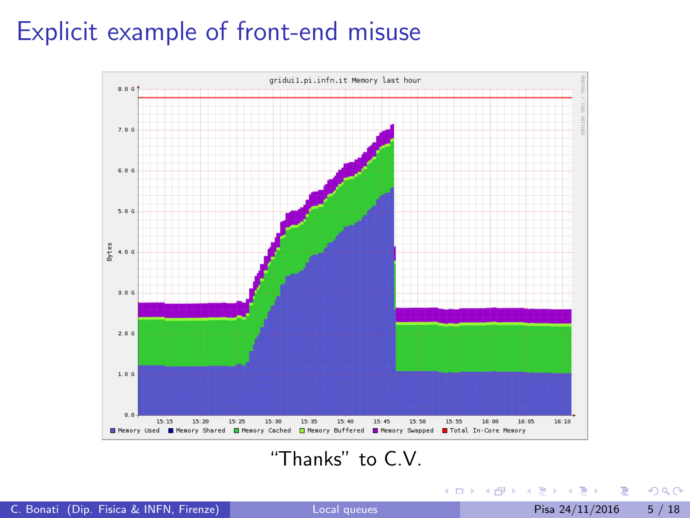### Explicit example of front-end misuse



#### "Thanks" to C.V.

K ロ ▶ K 個 ▶ K 로 ▶ K 로 ▶ - 로 - K 9 Q @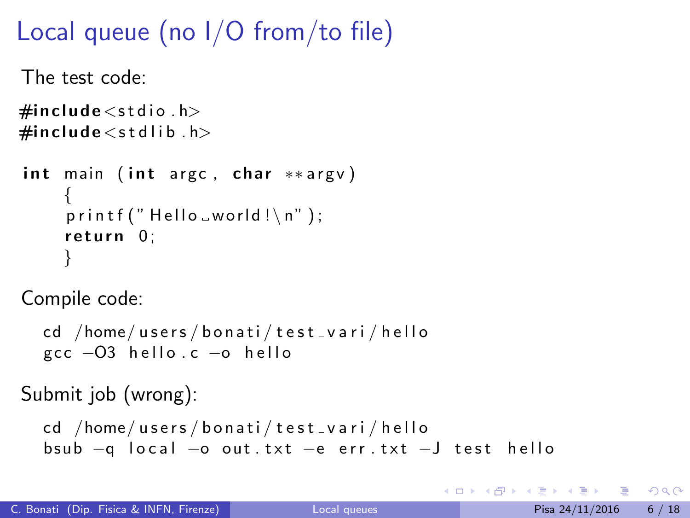```
The test code:
\#include<stdio .h>\#include \ltstdlib.h>
int main ( int argc, char **argv)
     {
     printf ("Hello _world!\n\ranglen");
     return 0:
     }
Compile code:
  cd /home/users/bonati/test_vari/hello
  gcc −O3 hello.c −o hello
Submit job (wrong):
```

```
cd /home/users/bonati/test_vari/hello
bsub -q local -o out .txt -e err .txt -J test hello
```
- 30

 $\Omega$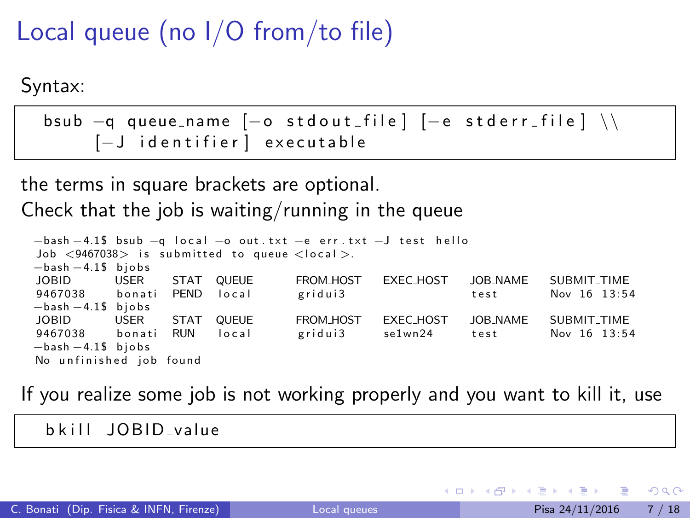Syntax:

| bsub $-q$ queue_name $[-o$ stdout_file $]-e$ stderr_file $]\ \ \ \$ |  |
|---------------------------------------------------------------------|--|
| [-J identifier] executable                                          |  |

the terms in square brackets are optional.

Check that the job is waiting/running in the queue

```
-\text{bash} -4.1\text{\textsterling} bsub -\text{a local} -\text{o out.txt} -\text{e err.txt} -\text{J test hello}Job \langle9467038\rangle is submitted to queue \langlelocal\rangle.
−bash −4.1$ b j o b s
JOBID USER STAT QUEUE FROM HOST EXEC HOST JOB NAME SUBMIT TIME
9467038 b o n a t i PEND l o c a l g r i d u i 3 t e s t Nov 16 1 3: 5 4
−bash −4.1$ bjobs<br>IOBID USER
JOBID USER STAT QUEUE FROM HOST EXEC HOST JOB NAME SUBMIT TIME
9467038     bonati   RUN    local             gridui3          se1wn24         test            Nov  16  13:54
-bash -4.1$ bjobs
No unfinished job found
```
If you realize some job is not working properly and you want to kill it, use

b kill JOBID value

÷

 $QQ$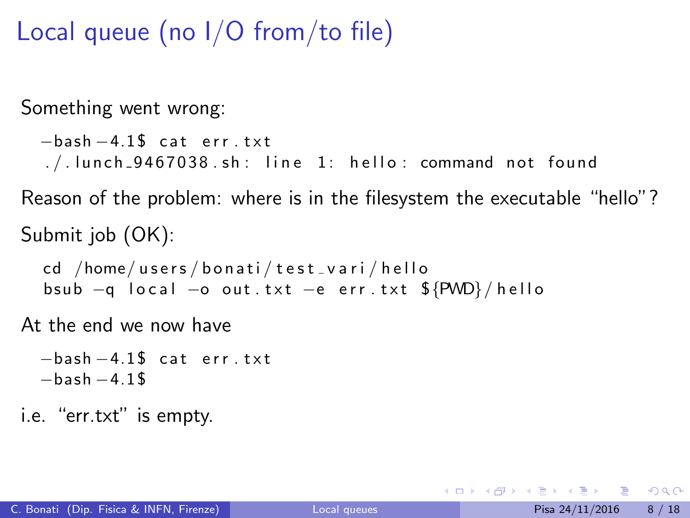Something went wrong:

```
-\text{hash} - 4.1\ cat err txt
1. / 1unch 9467038.sh: line 1: hello: command not found
```
Reason of the problem: where is in the filesystem the executable "hello"? Submit job (OK):

cd /home/users/bonati/test\_vari/hello bsub  $-q$  local  $-o$  out txt  $-e$  err txt  $\frac{C}{2}$ {PWD}/hello

At the end we now have

 $-\text{hash} - 4.1\$  cat err txt  $-$ bash  $-4.1$ \$

i.e. "err.txt" is empty.

4 0 8

- 30

 $\Omega$ 

- 4何 ト 4 ヨ ト 4 ヨ ト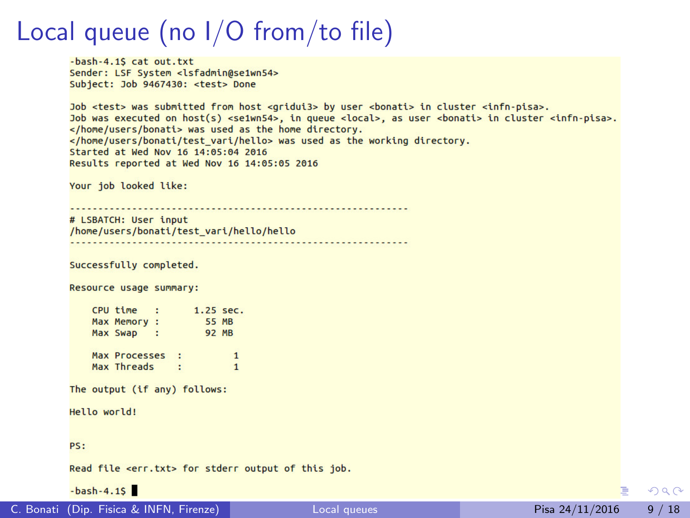```
-bash-4.1S cat out.txt
Sender: LSF System <lsfadmin@se1wn54>
Subject: Job 9467430: <test> Done
```
Job <test> was submitted from host <gridui3> by user <bonati> in cluster <infn-pisa>. Job was executed on host(s) <se1wn54>, in queue <local>, as user <bonati> in cluster <infn-pisa>, </home/users/bonati> was used as the home directory. </home/users/bonati/test vari/hello> was used as the working directory. Started at Wed Nov 16 14:05:04 2016 Results reported at Wed Nov 16 14:05:05 2016

```
Your job looked like:
```

```
# LSBATCH: User input
/home/users/bonati/test vari/hello/hello
```

```
Successfully completed.
```

```
Resource usage summary:
```

```
CPU time
         \sim 100
                 1.25 sec.
Max Memory :
                 55 MB
Max Swap : 92 MB
Max Processes :
                          \mathbf{1}Max Threads
                          \mathbf{1}÷
```
The output (if any) follows:

Hello world!

PS:

Read file <err.txt> for stderr output of this job.

 $-bash-4.15$ 

∍

 $QQQ$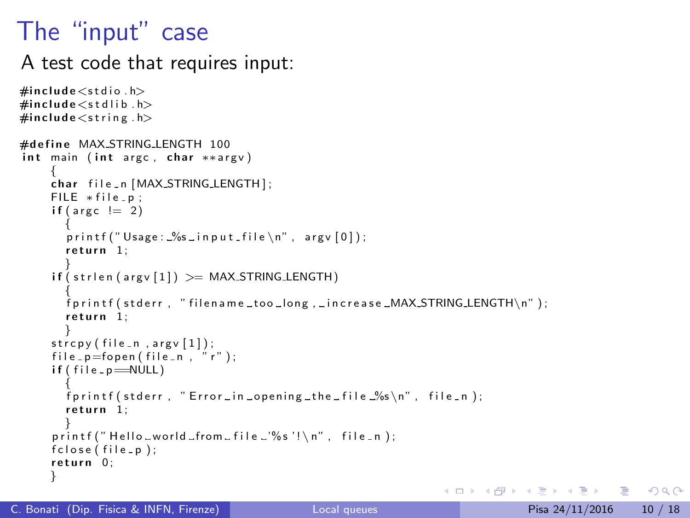## The "input" case

A test code that requires input:

```
\#include\ltstdio.h>
\#include <stdlib.h>
\#include \ltstring.h>
#define MAX_STRING_LENGTH 100
int main (int argc, char **argv)
     {<br>char file_n[MAX_STRING_LENGTH];
     FILE * file = p:
     if (area != 2){
       printf ("Usage: %s in put file \n", argv [0]);
       return 1:
       }
     if (strlen (arg v [1]) \geq MAX\_STRING\_LENGTH){
       f p r in t f ( st d e r r , " filen a m e too long , in c rease \_MAX\_STRING\_LENGTH\n ) :
       return 1;}
     \text{stropy} (file_n, argv[1]);
     file\_p=fopen(file\_n', 'r'');
     if (file_p=\text{NULL}){
       fprintf(stderr, "Error in opening the file \frac{9}{5} n", file n);
       return 1;
       }
     print(f'' Hello _world _from _file _'%s'!\n", file _n );
     fclose(file_p);return 0:
     }
                                                                     イロト イ押ト イヨト イヨト
```
 $\Omega$ æ.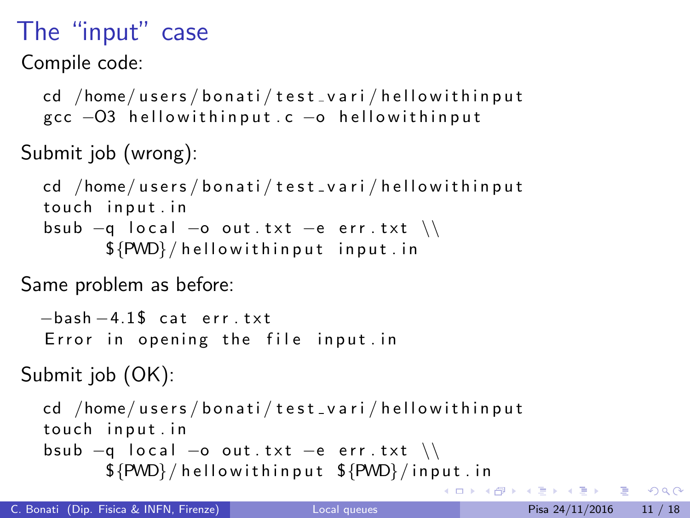## The "input" case

Compile code:

cd /home/users/bonati/test\_vari/hellowithinput gcc −O3 hellowithin put . c −o hellowithin put

```
Submit job (wrong):
```

```
cd /home/users/bonati/test_vari/hellowithinput
touch input in
bsub -q local -o out txt -e err txt \setminus${PWD}/hellowithinput input.in
```
Same problem as before:

```
-bash -4.1$ cat err. txt
Error in opening the file input in
```

```
Submit job (OK):
```

```
cd /home/users/bonati/test_vari/hellowithinput
touch input in
bsub -q local -o out txt -e err txt \\
      ${PWD}/hellowithin put ${PWD}/in put . in
```
**K ロト K 倒 ト K ミト** 

 $\overline{AB}$   $\rightarrow$   $\overline{B}$   $\rightarrow$   $\Omega$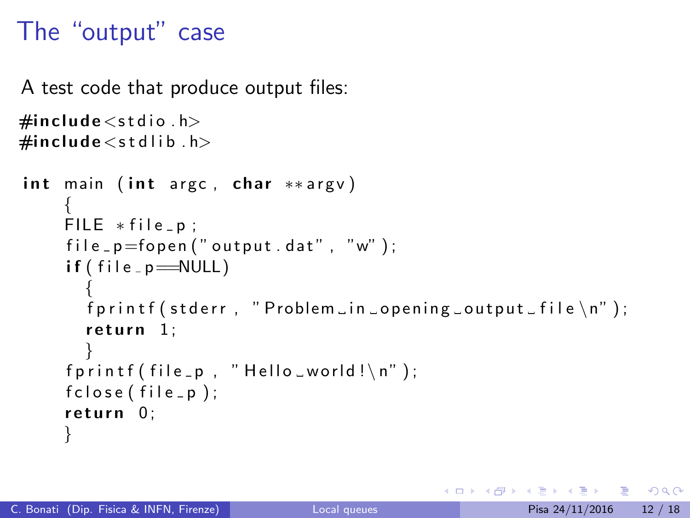## The "output" case

A test code that produce output files:

```
\#include \ltstdio.h>
\#include \ltstdlib.h>
```

```
int main (int argc, char **argv)
    {
    FILE * file_p;file_p=fopen("output.dat", "w");
    if (file_p == NULL){
      fprintf (stderr, "Problem in opening output file \n\cdot");
      return 1;
       }
    fprintf (file_p, "Hello_world!\n\timesn");
    fclose(file_p);
    return 0;}
```
- 30

 $\Omega$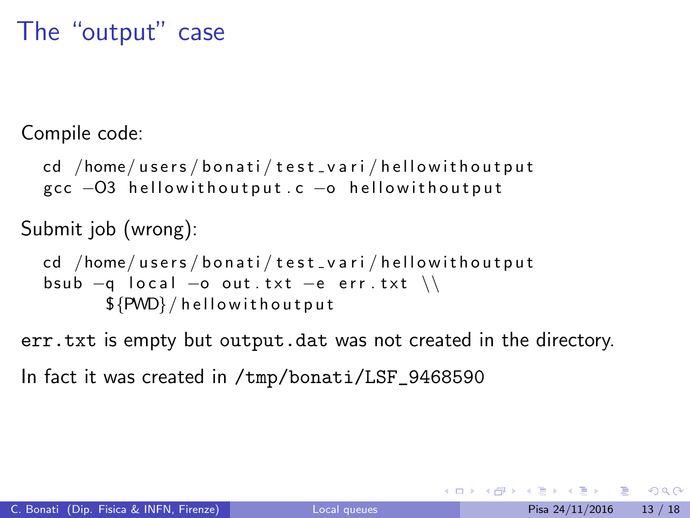### The "output" case

Compile code:

```
cd /home/users/bonati/test_vari/hellowithoutput
\rm gcc -O3 hellowithoutput \rm c -o hellowithoutput
```
Submit job (wrong):

```
cd /home/users/bonati/test_vari/hellowithoutput
bsub -a local -a out txt -e err txt \\
      ${PWD}/hellowithoutput
```
err.txt is empty but output.dat was not created in the directory.

In fact it was created in /tmp/bonati/LSF\_9468590

 $=$   $\Omega$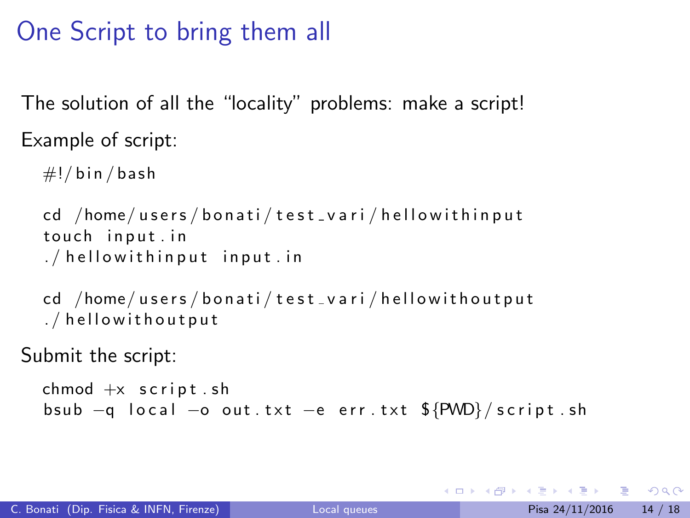## One Script to bring them all

The solution of all the "locality" problems: make a script! Example of script:

```
\#!/ bin / bash
cd /home/users/bonati/test_vari/hellowithinput
touch input.in
1/ hellowithin put in put \mathbf{r} in
```

```
cd /home/users/bonati/test_vari/hellowithoutput
./hellowithoutput
```
Submit the script:

```
chmod +x script shbsub -q local -o out txt -e err txt \frac{C}{2}[PWD}/script sh
```
KED KARD KED KED E VOOR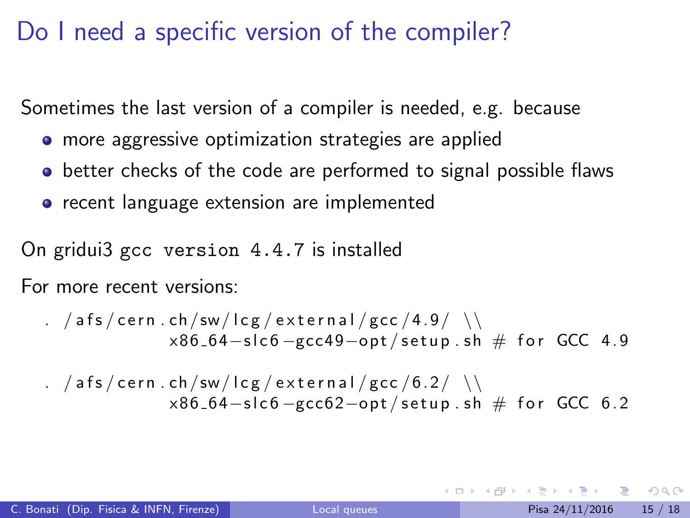## Do I need a specific version of the compiler?

Sometimes the last version of a compiler is needed, e.g. because

- **•** more aggressive optimization strategies are applied
- **•** better checks of the code are performed to signal possible flaws
- **•** recent language extension are implemented

On gridui3 gcc version 4.4.7 is installed

For more recent versions:

$$
. \ /afs/cern.ch/sw/lcg/external/gcc/4.9/ \ \ \backslash
$$
  
×86.64-slc6-gcc49-opt/setup.sh # for GCC 4.9

$$
\begin{array}{c}\n. & \text{afs/cern.ch/sw/lcg/cexternal/gcc/6.2/ }\n \end{array}
$$
\n
$$
\begin{array}{c}\n \times 86.64 - \text{slc6 - \text{gcc62 - opt/setup.sh \# for GCC 6.2}\n \end{array}
$$

 $\Omega$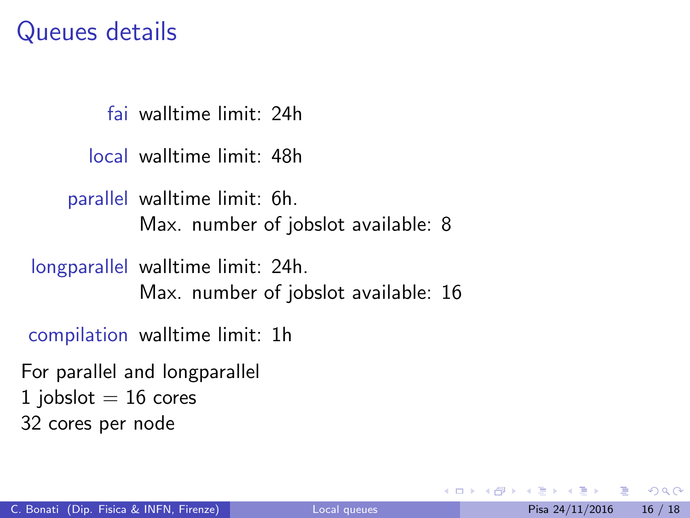#### Queues details

fai walltime limit: 24h

local walltime limit: 48h

parallel walltime limit: 6h. Max. number of jobslot available: 8

longparallel walltime limit: 24h.

Max. number of jobslot available: 16

compilation walltime limit: 1h

For parallel and longparallel 1 jobslot  $= 16$  cores 32 cores per node

 $QQ$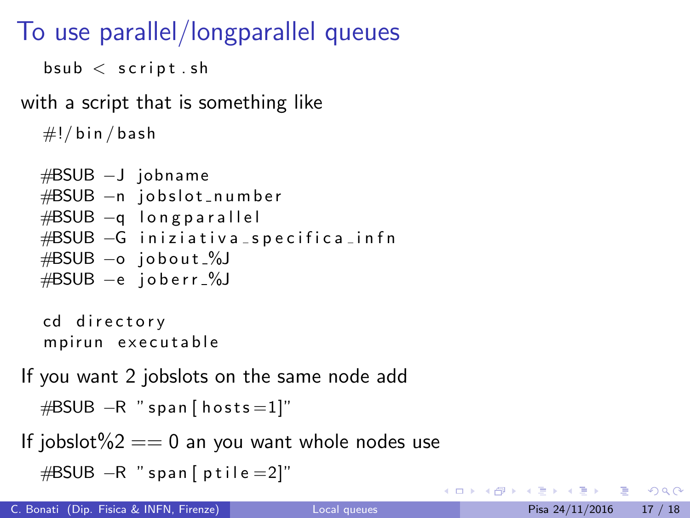## To use parallel/longparallel queues

```
bsub < script sh
```
with a script that is something like

```
\#!/ bin / bash
```

```
#BSUB −J jobname
#BSUB -n jobslot_number
#BSUB −q longparallel
#BSUB -G iniziativa_specifica_infn
#BSUB −o j o b o u t %J
#BSUB −e j o b e r r %J
```
cd directory mpirun executable

If you want 2 jobslots on the same node add

```
#BSUB -R " span [ h o sts = 1]"
```
If jobslot% $2 == 0$  an you want whole nodes use

```
\#BSUB -R " span [ p t i l e = 2]"
```
**KOD KARD KED KED B YOUR**